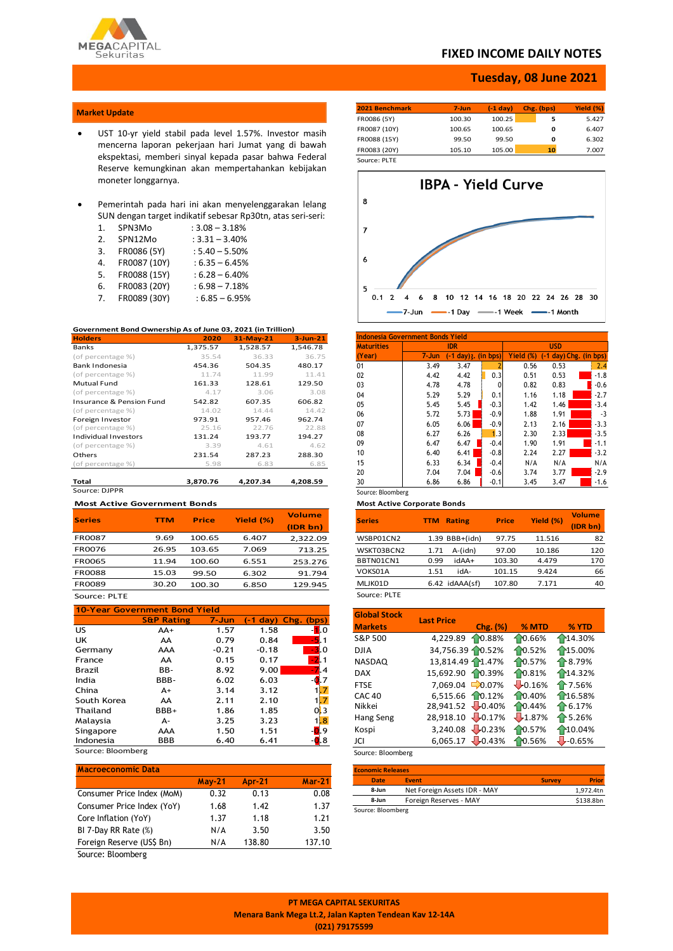

# **FIXED INCOME DAILY NOTES**

# **Tuesday, 08 June 2021**

## **Market Update**

- UST 10-yr yield stabil pada level 1.57%. Investor masih mencerna laporan pekerjaan hari Jumat yang di bawah ekspektasi, memberi sinyal kepada pasar bahwa Federal Reserve kemungkinan akan mempertahankan kebijakan moneter longgarnya.
- Pemerintah pada hari ini akan menyelenggarakan lelang SUN dengan target indikatif sebesar Rp30tn, atas seri-seri:

| 1. | SPN3Mo       | $: 3.08 - 3.18%$ |
|----|--------------|------------------|
| 2. | SPN12Mo      | $: 3.31 - 3.40%$ |
| 3. | FR0086 (5Y)  | $: 5.40 - 5.50%$ |
| 4. | FR0087 (10Y) | $:6.35 - 6.45%$  |
| 5. | FR0088 (15Y) | $: 6.28 - 6.40%$ |
| 6. | FR0083 (20Y) | $:6.98 - 7.18%$  |
| 7. | FR0089 (30Y) | $: 6.85 - 6.95%$ |

### **Government Bond Ownership As of June 03, 2021 (in Trillion)**

| <b>Holders</b>                      | 2020     | $31-May-21$ | $3$ -Jun-21 |
|-------------------------------------|----------|-------------|-------------|
| Banks                               | 1,375.57 | 1,528.57    | 1,546.78    |
| (of percentage %)                   | 35.54    | 36.33       | 36.75       |
| Bank Indonesia                      | 454.36   | 504.35      | 480.17      |
| (of percentage %)                   | 11.74    | 11.99       | 11.41       |
| <b>Mutual Fund</b>                  | 161.33   | 128.61      | 129.50      |
| (of percentage %)                   | 4.17     | 3.06        | 3.08        |
| <b>Insurance &amp; Pension Fund</b> | 542.82   | 607.35      | 606.82      |
| (of percentage %)                   | 14.02    | 14.44       | 14.42       |
| Foreign Investor                    | 973.91   | 957.46      | 962.74      |
| (of percentage %)                   | 25.16    | 22.76       | 22.88       |
| <b>Individual Investors</b>         | 131.24   | 193.77      | 194.27      |
| (of percentage %)                   | 3.39     | 4.61        | 4.62        |
| Others                              | 231.54   | 287.23      | 288.30      |
| (of percentage %)                   | 5.98     | 6.83        | 6.85        |
| <b>Total</b>                        | 3,870.76 | 4,207.34    | 4,208.59    |
| Source: DIPPR                       |          |             |             |

### **Most Active Government Bonds**

| <b>Series</b> | <b>TTM</b> | <b>Price</b> | Yield (%) | <b>Volume</b> |
|---------------|------------|--------------|-----------|---------------|
|               |            |              |           | (IDR bn)      |
| <b>FR0087</b> | 9.69       | 100.65       | 6.407     | 2,322.09      |
| <b>FR0076</b> | 26.95      | 103.65       | 7.069     | 713.25        |
| <b>FR0065</b> | 11.94      | 100.60       | 6.551     | 253.276       |
| <b>FR0088</b> | 15.03      | 99.50        | 6.302     | 91.794        |
| FR0089        | 30.20      | 100.30       | 6.850     | 129.945       |
| Source: PLTE  |            |              |           |               |

## **10-Year Government Bond Yield S&P Rating 7-Jun (-1 day) Chg. (bps)** US AA+ 1.57 1.58 -<mark>1</mark>.0 UK AA 0.79 0.84 <mark> -5</mark>.1 Germany AAA -0.21 -0.18 -3.0<br>France AA -0.15 0.17 -2.1 France AA 0.15 0.17 -2.1 Brazil BB- 8.92 9.00 -7.4 India 6.02 6.03 -0.7 China  $A+$  3.14 3.12 1.7 South Korea AA 2.11 2.10 1.7 Thailand BBB+ 1.86 1.85 0.3 Malaysia A- 3.25 3.23 1.8 Singapore AAA 1.50 1.51 - <mark>0.</mark>9<br>Indonesia BBB 6.40 6.41 - 0.8

 $Indonesia$   $BBB$   $6.40$   $6.41$ Source: Bloomberg

| <b>Macroeconomic Data</b>  |          |               |               |
|----------------------------|----------|---------------|---------------|
|                            | $May-21$ | <b>Apr-21</b> | <b>Mar-21</b> |
| Consumer Price Index (MoM) | 0.32     | 0.13          | 0.08          |
| Consumer Price Index (YoY) | 1.68     | 1.42          | 1.37          |
| Core Inflation (YoY)       | 1.37     | 1.18          | 1.21          |
| BI 7-Day RR Rate (%)       | N/A      | 3.50          | 3.50          |
| Foreign Reserve (US\$ Bn)  | N/A      | 138.80        | 137.10        |

Source: Bloomberg

| 2021 Benchmark | 7-Jun  | $(-1)$ day | Chg. (bps) | Yield (%) |
|----------------|--------|------------|------------|-----------|
| FR0086 (5Y)    | 100.30 | 100.25     |            | 5.427     |
| FR0087 (10Y)   | 100.65 | 100.65     | 0          | 6.407     |
| FR0088 (15Y)   | 99.50  | 99.50      | 0          | 6.302     |

FR0083 (20Y) 105.10 105.00 **10** 7.007 Source: PLTE



| <b>Maturities</b> |           | <b>IDR</b>           |        |              | <b>USD</b> |                        |
|-------------------|-----------|----------------------|--------|--------------|------------|------------------------|
| (Year)            | $7 - Jun$ | (-1 day) :. (in bps) |        | Yield<br>(%) |            | (-1 day) Chg. (in bps) |
| 01                | 3.49      | 3.47                 |        | 0.56         | 0.53       | 2.4                    |
| 02                | 4.42      | 4.42                 | 0.3    | 0.51         | 0.53       | $-1.8$                 |
| 03                | 4.78      | 4.78                 | 0      | 0.82         | 0.83       | $-0.6$                 |
| 04                | 5.29      | 5.29                 | 0.1    | 1.16         | 1.18       | $-2.7$                 |
| 05                | 5.45      | 5.45                 | $-0.3$ | 1.42         | 1.46       | $-3.4$                 |
| 06                | 5.72      | 5.73                 | $-0.9$ | 1.88         | 1.91       | $-3$                   |
| 07                | 6.05      | 6.06                 | $-0.9$ | 2.13         | 2.16       | $-3.3$                 |
| 08                | 6.27      | 6.26                 | 1.3    | 2.30         | 2.33       | $-3.5$                 |
| 09                | 6.47      | 6.47                 | $-0.4$ | 1.90         | 1.91       | $-1.1$                 |
| 10                | 6.40      | 6.41                 | $-0.8$ | 2.24         | 2.27       | $-3.2$                 |
| 15                | 6.33      | 6.34                 | $-0.4$ | N/A          | N/A        | N/A                    |
| 20                | 7.04      | 7.04                 | $-0.6$ | 3.74         | 3.77       | $-2.9$                 |
| 30                | 6.86      | 6.86                 | $-0.1$ | 3.45         | 3.47       | $-1.6$                 |

### **Most Active Corporate Bonds**

| <b>Series</b> | <b>Rating</b><br><b>TTM</b> | <b>Price</b> | Yield (%) | <b>Volume</b><br>(IDR bn) |
|---------------|-----------------------------|--------------|-----------|---------------------------|
| WSBP01CN2     | 1.39 BBB+(idn)              | 97.75        | 11.516    | 82                        |
| WSKT03BCN2    | A-(idn)<br>1.71             | 97.00        | 10.186    | 120                       |
| BBTN01CN1     | idAA+<br>0.99               | 103.30       | 4.479     | 170                       |
| VOKS01A       | idA-<br>1.51                | 101.15       | 9.424     | 66                        |
| MLJK01D       | $6.42$ idAAA $(sf)$         | 107.80       | 7.171     | 40                        |
| Source: PLTE  |                             |              |           |                           |

| <b>Global Stock</b> | <b>Last Price</b> |           |        |                   |
|---------------------|-------------------|-----------|--------|-------------------|
| <b>Markets</b>      |                   | Chg. (%)  | % MTD  | % YTD             |
| S&P 500             | 4,229.89          | 10.88%    | 10.66% | 14.30%            |
| <b>DJIA</b>         | 34,756.39 0.52%   |           | 10.52% | ↑15.00%           |
| <b>NASDAQ</b>       | 13,814.49 1.47%   |           | 10.57% | ↑8.79%            |
| <b>DAX</b>          | 15,692.90         | 10.39%    | 10.81% | 14.32%            |
| <b>FTSE</b>         | 7.069.04          | $-0.07\%$ | 10.16% | ↑7.56%            |
| <b>CAC 40</b>       | 6,515.66 10.12%   |           | 10.40% | 16.58%            |
| Nikkei              | 28,941.52 -0.40%  |           | 10.44% | $\bigoplus$ 6.17% |
| Hang Seng           | 28,918.10         | $-0.17%$  | 1.87%  | ↑5.26%            |
| Kospi               | 3.240.08          | $-0.23%$  | 10.57% | 10.04%            |
| JCI                 | $6,065.17$ -0.43% |           | 0.56%  | $-0.65%$          |

Source: Bloomberg

| <b>Economic Releases</b> |                              |               |              |  |  |  |  |
|--------------------------|------------------------------|---------------|--------------|--|--|--|--|
| <b>Date</b>              | <b>Event</b>                 | <b>Survey</b> | <b>Prior</b> |  |  |  |  |
| 8-Jun                    | Net Foreign Assets IDR - MAY |               | 1.972.4tn    |  |  |  |  |
| 8-Jun                    | Foreign Reserves - MAY       |               | \$138.8bn    |  |  |  |  |
| Source: Bloomberg        |                              |               |              |  |  |  |  |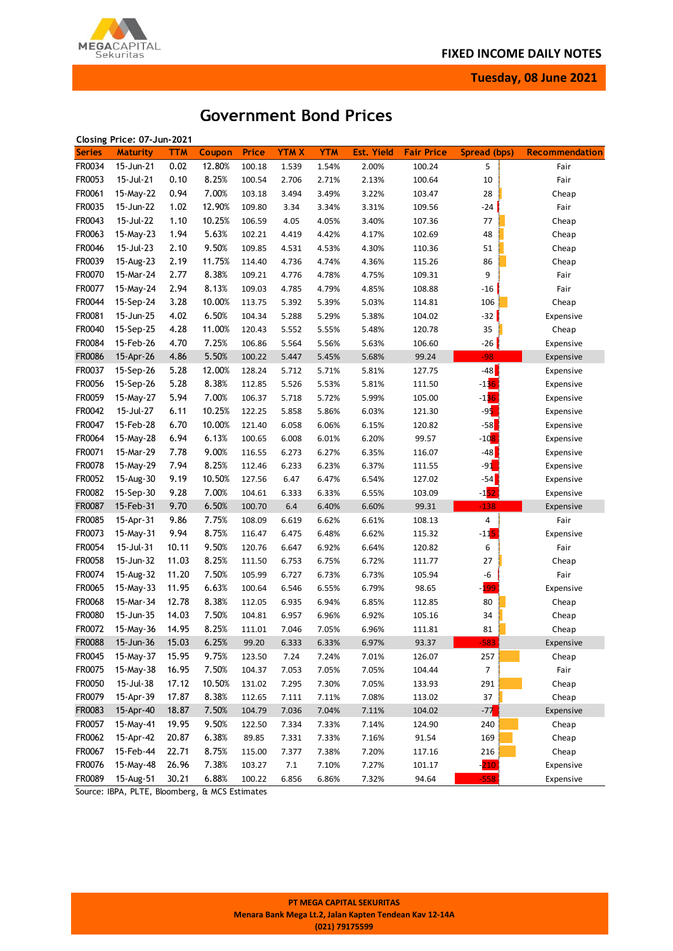

**Tuesday, 08 June 2021**

# **Government Bond Prices**

|               | Closing Price: 07-Jun-2021 |            |        |              |             |            |                   |                   |                    |                       |
|---------------|----------------------------|------------|--------|--------------|-------------|------------|-------------------|-------------------|--------------------|-----------------------|
| <b>Series</b> | <b>Maturity</b>            | <b>TTM</b> | Coupon | <b>Price</b> | <b>YTMX</b> | <b>YTM</b> | <b>Est. Yield</b> | <b>Fair Price</b> | Spread (bps)       | <b>Recommendation</b> |
| FR0034        | 15-Jun-21                  | 0.02       | 12.80% | 100.18       | 1.539       | 1.54%      | 2.00%             | 100.24            | 5                  | Fair                  |
| FR0053        | 15-Jul-21                  | 0.10       | 8.25%  | 100.54       | 2.706       | 2.71%      | 2.13%             | 100.64            | 10                 | Fair                  |
| FR0061        | 15-May-22                  | 0.94       | 7.00%  | 103.18       | 3.494       | 3.49%      | 3.22%             | 103.47            | 28                 | Cheap                 |
| FR0035        | 15-Jun-22                  | 1.02       | 12.90% | 109.80       | 3.34        | 3.34%      | 3.31%             | 109.56            | $-24$              | Fair                  |
| FR0043        | 15-Jul-22                  | 1.10       | 10.25% | 106.59       | 4.05        | 4.05%      | 3.40%             | 107.36            | 77                 | Cheap                 |
| FR0063        | 15-May-23                  | 1.94       | 5.63%  | 102.21       | 4.419       | 4.42%      | 4.17%             | 102.69            | 48                 | Cheap                 |
| FR0046        | 15-Jul-23                  | 2.10       | 9.50%  | 109.85       | 4.531       | 4.53%      | 4.30%             | 110.36            | 51                 | Cheap                 |
| FR0039        | 15-Aug-23                  | 2.19       | 11.75% | 114.40       | 4.736       | 4.74%      | 4.36%             | 115.26            | 86                 | Cheap                 |
| FR0070        | 15-Mar-24                  | 2.77       | 8.38%  | 109.21       | 4.776       | 4.78%      | 4.75%             | 109.31            | 9                  | Fair                  |
| FR0077        | 15-May-24                  | 2.94       | 8.13%  | 109.03       | 4.785       | 4.79%      | 4.85%             | 108.88            | -16                | Fair                  |
| FR0044        | 15-Sep-24                  | 3.28       | 10.00% | 113.75       | 5.392       | 5.39%      | 5.03%             | 114.81            | 106                | Cheap                 |
| FR0081        | 15-Jun-25                  | 4.02       | 6.50%  | 104.34       | 5.288       | 5.29%      | 5.38%             | 104.02            | $-32$              | Expensive             |
| FR0040        | 15-Sep-25                  | 4.28       | 11.00% | 120.43       | 5.552       | 5.55%      | 5.48%             | 120.78            | 35                 | Cheap                 |
| FR0084        | 15-Feb-26                  | 4.70       | 7.25%  | 106.86       | 5.564       | 5.56%      | 5.63%             | 106.60            | -26                | Expensive             |
| <b>FR0086</b> | 15-Apr-26                  | 4.86       | 5.50%  | 100.22       | 5.447       | 5.45%      | 5.68%             | 99.24             | $-98$              | Expensive             |
| FR0037        | 15-Sep-26                  | 5.28       | 12.00% | 128.24       | 5.712       | 5.71%      | 5.81%             | 127.75            | $-48$              | Expensive             |
| FR0056        | 15-Sep-26                  | 5.28       | 8.38%  | 112.85       | 5.526       | 5.53%      | 5.81%             | 111.50            | $-136$             |                       |
|               |                            |            |        |              |             |            |                   |                   |                    | Expensive             |
| FR0059        | 15-May-27                  | 5.94       | 7.00%  | 106.37       | 5.718       | 5.72%      | 5.99%             | 105.00            | $-136$             | Expensive             |
| FR0042        | 15-Jul-27                  | 6.11       | 10.25% | 122.25       | 5.858       | 5.86%      | 6.03%             | 121.30            | $-95$              | Expensive             |
| FR0047        | 15-Feb-28                  | 6.70       | 10.00% | 121.40       | 6.058       | 6.06%      | 6.15%             | 120.82            | $-58$              | Expensive             |
| FR0064        | 15-May-28                  | 6.94       | 6.13%  | 100.65       | 6.008       | 6.01%      | 6.20%             | 99.57             | $-108$             | Expensive             |
| FR0071        | 15-Mar-29                  | 7.78       | 9.00%  | 116.55       | 6.273       | 6.27%      | 6.35%             | 116.07            | $-48$              | Expensive             |
| FR0078        | 15-May-29                  | 7.94       | 8.25%  | 112.46       | 6.233       | 6.23%      | 6.37%             | 111.55            | $-91$              | Expensive             |
| FR0052        | 15-Aug-30                  | 9.19       | 10.50% | 127.56       | 6.47        | 6.47%      | 6.54%             | 127.02            | $-54$              | Expensive             |
| FR0082        | 15-Sep-30                  | 9.28       | 7.00%  | 104.61       | 6.333       | 6.33%      | 6.55%             | 103.09            | $-152$             | Expensive             |
| FR0087        | 15-Feb-31                  | 9.70       | 6.50%  | 100.70       | $6.4\,$     | 6.40%      | 6.60%             | 99.31             | $-138$             | Expensive             |
| FR0085        | 15-Apr-31                  | 9.86       | 7.75%  | 108.09       | 6.619       | 6.62%      | 6.61%             | 108.13            | 4                  | Fair                  |
| FR0073        | 15-May-31                  | 9.94       | 8.75%  | 116.47       | 6.475       | 6.48%      | 6.62%             | 115.32            | $-11$ <sup>5</sup> | Expensive             |
| FR0054        | 15-Jul-31                  | 10.11      | 9.50%  | 120.76       | 6.647       | 6.92%      | 6.64%             | 120.82            | 6                  | Fair                  |
| FR0058        | 15-Jun-32                  | 11.03      | 8.25%  | 111.50       | 6.753       | 6.75%      | 6.72%             | 111.77            | 27                 | Cheap                 |
| FR0074        | 15-Aug-32                  | 11.20      | 7.50%  | 105.99       | 6.727       | 6.73%      | 6.73%             | 105.94            | -6                 | Fair                  |
| FR0065        | 15-May-33                  | 11.95      | 6.63%  | 100.64       | 6.546       | 6.55%      | 6.79%             | 98.65             | - <mark>199</mark> | Expensive             |
| FR0068        | 15-Mar-34                  | 12.78      | 8.38%  | 112.05       | 6.935       | 6.94%      | 6.85%             | 112.85            | 80                 | Cheap                 |
| FR0080        | 15-Jun-35                  | 14.03      | 7.50%  | 104.81       | 6.957       | 6.96%      | 6.92%             | 105.16            | 34                 | Cheap                 |
| FR0072        | 15-May-36                  | 14.95      | 8.25%  | 111.01       | 7.046       | 7.05%      | 6.96%             | 111.81            | 81                 | Cheap                 |
| FR0088        | 15-Jun-36                  | 15.03      | 6.25%  | 99.20        | 6.333       | 6.33%      | 6.97%             | 93.37             | cop                | Expensive             |
| FR0045        | 15-May-37                  | 15.95      | 9.75%  | 123.50       | 7.24        | 7.24%      | 7.01%             | 126.07            | 257                | Cheap                 |
| FR0075        | 15-May-38                  | 16.95      | 7.50%  | 104.37       | 7.053       | 7.05%      | 7.05%             | 104.44            | $\boldsymbol{7}$   | Fair                  |
| FR0050        | 15-Jul-38                  | 17.12      | 10.50% | 131.02       | 7.295       | 7.30%      | 7.05%             | 133.93            | 291                | Cheap                 |
| FR0079        | 15-Apr-39                  | 17.87      | 8.38%  | 112.65       | 7.111       | 7.11%      | 7.08%             | 113.02            | 37                 | Cheap                 |
| FR0083        | 15-Apr-40                  | 18.87      | 7.50%  | 104.79       | 7.036       | 7.04%      | 7.11%             | 104.02            | $-77$              | Expensive             |
| FR0057        | 15-May-41                  | 19.95      | 9.50%  | 122.50       | 7.334       | 7.33%      | 7.14%             | 124.90            | 240                | Cheap                 |
| FR0062        | 15-Apr-42                  | 20.87      | 6.38%  | 89.85        | 7.331       | 7.33%      | 7.16%             | 91.54             | 169                | Cheap                 |
| FR0067        | 15-Feb-44                  | 22.71      | 8.75%  | 115.00       | 7.377       | 7.38%      | 7.20%             | 117.16            | 216                | Cheap                 |
| FR0076        | 15-May-48                  | 26.96      | 7.38%  | 103.27       | $7.1\,$     | 7.10%      | 7.27%             | 101.17            | $-210$             | Expensive             |
| FR0089        | 15-Aug-51                  | 30.21      | 6.88%  | 100.22       | 6.856       | 6.86%      | 7.32%             | 94.64             | $-558$             | Expensive             |

Source: IBPA, PLTE, Bloomberg, & MCS Estimates